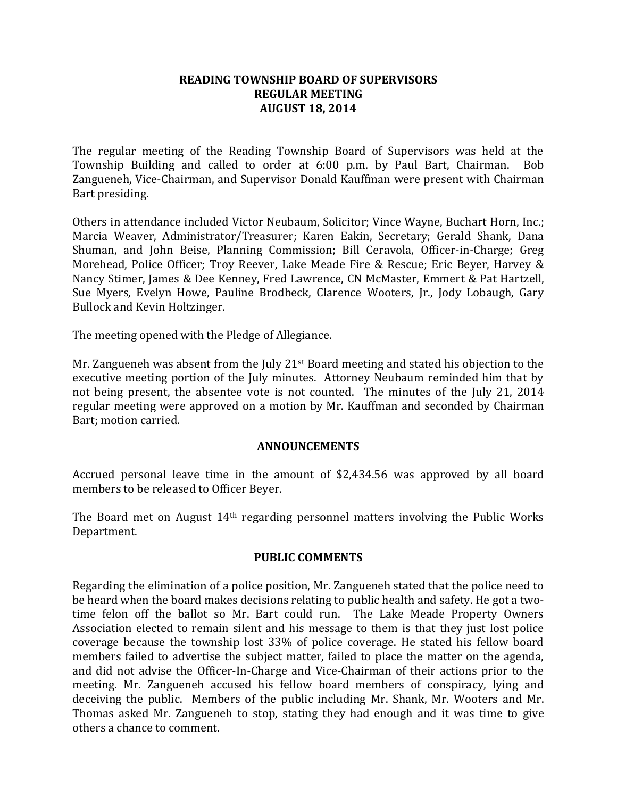## **READING TOWNSHIP BOARD OF SUPERVISORS REGULAR MEETING AUGUST 18, 2014**

The regular meeting of the Reading Township Board of Supervisors was held at the Township Building and called to order at 6:00 p.m. by Paul Bart, Chairman. Bob Zangueneh, Vice-Chairman, and Supervisor Donald Kauffman were present with Chairman Bart presiding.

Others in attendance included Victor Neubaum, Solicitor; Vince Wayne, Buchart Horn, Inc.; Marcia Weaver, Administrator/Treasurer; Karen Eakin, Secretary; Gerald Shank, Dana Shuman, and John Beise, Planning Commission; Bill Ceravola, Officer-in-Charge; Greg Morehead, Police Officer; Troy Reever, Lake Meade Fire & Rescue; Eric Beyer, Harvey & Nancy Stimer, James & Dee Kenney, Fred Lawrence, CN McMaster, Emmert & Pat Hartzell, Sue Myers, Evelyn Howe, Pauline Brodbeck, Clarence Wooters, Jr., Jody Lobaugh, Gary Bullock and Kevin Holtzinger.

The meeting opened with the Pledge of Allegiance.

Mr. Zangueneh was absent from the July  $21^{st}$  Board meeting and stated his objection to the executive meeting portion of the July minutes. Attorney Neubaum reminded him that by not being present, the absentee vote is not counted. The minutes of the July 21, 2014 regular meeting were approved on a motion by Mr. Kauffman and seconded by Chairman Bart; motion carried.

### **ANNOUNCEMENTS**

Accrued personal leave time in the amount of \$2,434.56 was approved by all board members to be released to Officer Beyer.

The Board met on August 14th regarding personnel matters involving the Public Works Department.

# **PUBLIC COMMENTS**

Regarding the elimination of a police position, Mr. Zangueneh stated that the police need to be heard when the board makes decisions relating to public health and safety. He got a twotime felon off the ballot so Mr. Bart could run. The Lake Meade Property Owners Association elected to remain silent and his message to them is that they just lost police coverage because the township lost 33% of police coverage. He stated his fellow board members failed to advertise the subject matter, failed to place the matter on the agenda, and did not advise the Officer-In-Charge and Vice-Chairman of their actions prior to the meeting. Mr. Zangueneh accused his fellow board members of conspiracy, lying and deceiving the public. Members of the public including Mr. Shank, Mr. Wooters and Mr. Thomas asked Mr. Zangueneh to stop, stating they had enough and it was time to give others a chance to comment.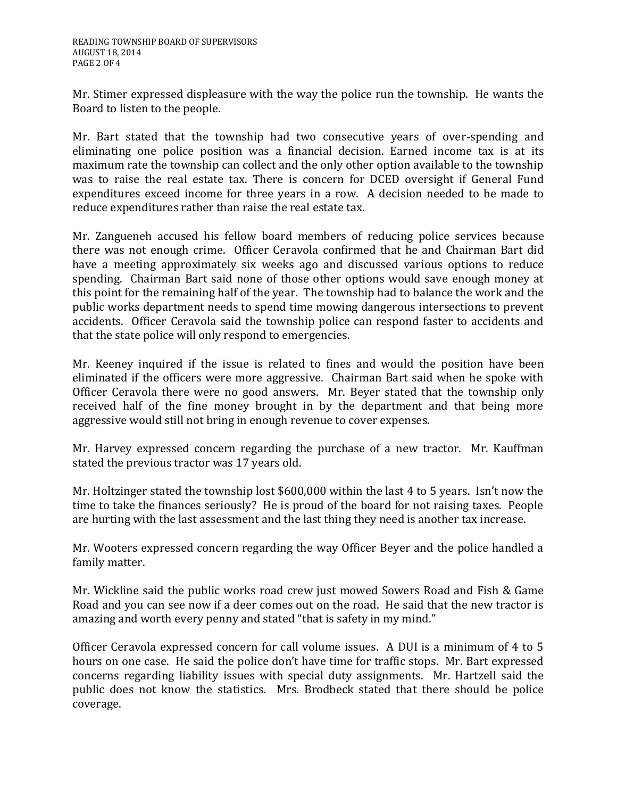Mr. Stimer expressed displeasure with the way the police run the township. He wants the Board to listen to the people.

Mr. Bart stated that the township had two consecutive years of over-spending and eliminating one police position was a financial decision. Earned income tax is at its maximum rate the township can collect and the only other option available to the township was to raise the real estate tax. There is concern for DCED oversight if General Fund expenditures exceed income for three years in a row. A decision needed to be made to reduce expenditures rather than raise the real estate tax.

Mr. Zangueneh accused his fellow board members of reducing police services because there was not enough crime. Officer Ceravola confirmed that he and Chairman Bart did have a meeting approximately six weeks ago and discussed various options to reduce spending. Chairman Bart said none of those other options would save enough money at this point for the remaining half of the year. The township had to balance the work and the public works department needs to spend time mowing dangerous intersections to prevent accidents. Officer Ceravola said the township police can respond faster to accidents and that the state police will only respond to emergencies.

Mr. Keeney inquired if the issue is related to fines and would the position have been eliminated if the officers were more aggressive. Chairman Bart said when he spoke with Officer Ceravola there were no good answers. Mr. Beyer stated that the township only received half of the fine money brought in by the department and that being more aggressive would still not bring in enough revenue to cover expenses.

Mr. Harvey expressed concern regarding the purchase of a new tractor. Mr. Kauffman stated the previous tractor was 17 years old.

Mr. Holtzinger stated the township lost \$600,000 within the last 4 to 5 years. Isn't now the time to take the finances seriously? He is proud of the board for not raising taxes. People are hurting with the last assessment and the last thing they need is another tax increase.

Mr. Wooters expressed concern regarding the way Officer Beyer and the police handled a family matter.

Mr. Wickline said the public works road crew just mowed Sowers Road and Fish & Game Road and you can see now if a deer comes out on the road. He said that the new tractor is amazing and worth every penny and stated "that is safety in my mind."

Officer Ceravola expressed concern for call volume issues. A DUI is a minimum of 4 to 5 hours on one case. He said the police don't have time for traffic stops. Mr. Bart expressed concerns regarding liability issues with special duty assignments. Mr. Hartzell said the public does not know the statistics. Mrs. Brodbeck stated that there should be police coverage.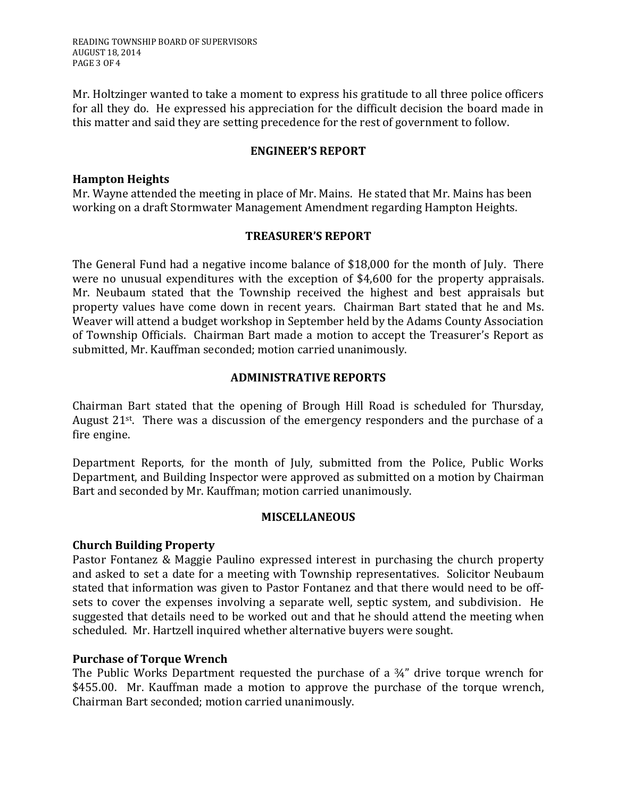READING TOWNSHIP BOARD OF SUPERVISORS AUGUST 18, 2014 PAGE 3 OF 4

Mr. Holtzinger wanted to take a moment to express his gratitude to all three police officers for all they do. He expressed his appreciation for the difficult decision the board made in this matter and said they are setting precedence for the rest of government to follow.

### **ENGINEER'S REPORT**

### **Hampton Heights**

Mr. Wayne attended the meeting in place of Mr. Mains. He stated that Mr. Mains has been working on a draft Stormwater Management Amendment regarding Hampton Heights.

### **TREASURER'S REPORT**

The General Fund had a negative income balance of \$18,000 for the month of July. There were no unusual expenditures with the exception of \$4,600 for the property appraisals. Mr. Neubaum stated that the Township received the highest and best appraisals but property values have come down in recent years. Chairman Bart stated that he and Ms. Weaver will attend a budget workshop in September held by the Adams County Association of Township Officials. Chairman Bart made a motion to accept the Treasurer's Report as submitted, Mr. Kauffman seconded; motion carried unanimously.

## **ADMINISTRATIVE REPORTS**

Chairman Bart stated that the opening of Brough Hill Road is scheduled for Thursday, August 21<sup>st</sup>. There was a discussion of the emergency responders and the purchase of a fire engine.

Department Reports, for the month of July, submitted from the Police, Public Works Department, and Building Inspector were approved as submitted on a motion by Chairman Bart and seconded by Mr. Kauffman; motion carried unanimously.

# **MISCELLANEOUS**

### **Church Building Property**

Pastor Fontanez & Maggie Paulino expressed interest in purchasing the church property and asked to set a date for a meeting with Township representatives. Solicitor Neubaum stated that information was given to Pastor Fontanez and that there would need to be offsets to cover the expenses involving a separate well, septic system, and subdivision. He suggested that details need to be worked out and that he should attend the meeting when scheduled. Mr. Hartzell inquired whether alternative buyers were sought.

### **Purchase of Torque Wrench**

The Public Works Department requested the purchase of a  $\frac{3}{4}$ " drive torque wrench for \$455.00. Mr. Kauffman made a motion to approve the purchase of the torque wrench, Chairman Bart seconded; motion carried unanimously.